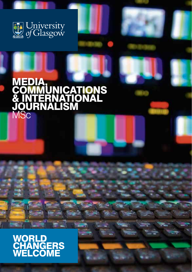

# MEDIA, **COMMUNICATIONS** & INTERNATIONAL JOURNALISM 1Sc

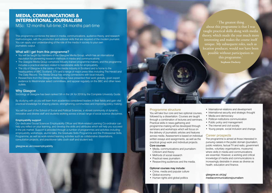## MEDIA, COMMUNICATIONS & INTERNATIONAL JOURNALISM

MSc: 12 months full-time; 24 months part-time

This programme combines the latest in media, communications, audience theory, and research methodologies, with the production and editorial skills that are required of the modern journalist. You can apply your understanding of the role of the media in society to your own journalistic output.

#### What will I get from this programme?

- You will be taught by members of the Glasgow Media Group, which has an international reputation for pioneering research methods in media and communications.
- The Glasgow Media Group comprises industry-trained programme-makers, and this programme includes a practical element related to transferable skills for employability.
- The city of Glasgow is the centre of the media industry in Scotland and is home to the headquarters of BBC Scotland, STV and a range of major press titles including The Herald and The Daily Record. The Media Group has strong connections with local industry.
- Researchers from the Glasgow Media Group have presented their work globally, given expert evidence to Westminster select committees, and appear regularly on the BBC and other news outlets.

#### **Why Glasgow**

Sociology at Glasgow has been ranked 5th in the UK for 2019 by the Complete University Guide.

By studying with us you will learn from academics considered leaders in their fields and gain vital practical knowledge for shaping places, strengthening communities and improving policy making.

You will be part of the School of Social and Political Sciences, a vibrant community of dynamic, innovative and diverse staff and students working across a broad range of social science disciplines.

#### Employability support

Our dedicated Social Sciences Employability Officer and Work-related Learning Co-ordinator can help you reflect on your learning, and develop the skills and attributes which will help you succeed in the job market. Support is provided through a number of programmes and activities including employability workshops, alumni talks, the Graduate Skills Programme and the Professional Skills Programme, as well as work-related learning activities such as collaborative dissertations, consultation projects, and practitioner talks (both staff and student led).

#### [glasgow.ac.uk/cossemployability](https://www.gla.ac.uk/colleges/socialsciences/students/employability/)

'The greatest thing about this programme is that I was taught practical skills along with media theory, which made the year much more interesting and makes the course itself unique. My subsequent roles, such as location producer, would not have been possible without participation in this programme.' **Stephanie Docherty** 

#### Programme structure

You will take four core and two optional courses, followed by a dissertation. Courses are taught through a combination of lectures and seminars. Practical skills in news-gathering and programme-making will be developed through seminars and workshops which will focus on the delivery of journalistic articles and features across media. Assessment is based on individual written essays and assignments, as well as the practical group work and individual projects.

### Core courses

- Media, communications and journalism: Criticism and theory
- Methods of social research
- Practical news journalism
- Researching audiences and the media.

#### Optional courses may include:

- Crime, media and popular culture
- Global economy
- Human rights and global politics
- International relations and development
- International security and strategic thought
- Media and democracy
- Political institutions communication
- Public policy and management
- The internet and civil society
- Young people, social inclusion and change.

#### Career prospects

The programme is aimed at those interested in pursuing careers in the public domain (journalism, public relations, factual TV and radio, government bodies, voluntary organisations, museums) where skills in media and communications are essential. However, a working and critical knowledge of media and communications is increasingly desirable in areas as diverse as health, education and finance.

glasgow.ac.uk/pg/ [mediacommunicationsjournalism](https://www.gla.ac.uk/postgraduate/taught/mediacommunicationsinternationaljournalism/)